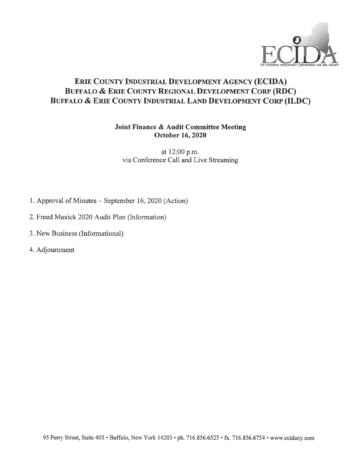

### ERIE COUNTY INDUSTRIAL DEVELOPMENT AGENCY (ECIDA) BUFFALO & ERIE COUNTY REGIONAL DEVELOPMENT CORP (RDC) BUFFALO & ERIE COUNTY INDUSTRIAL LAND DEVELOPMENT CORP (ILDC)

### Joint Finance & Audit Committee Meeting October 16, 2020

at 12:00 p.m. via Conference Call and Live Streaming

- 1. Approval of Minutes September 16, 2020 (Action)
- 2. Freed Maxick 2020 Audit Plan (Information)
- 3. New Business (Informational)
- 4. Adjournment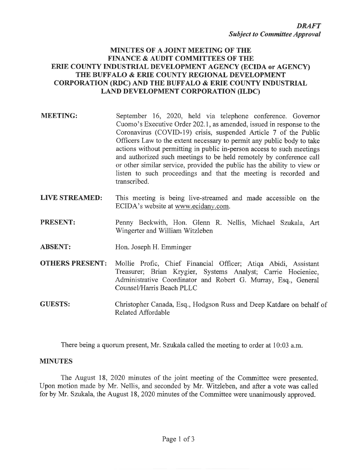### **MINUTES OF A JOINT MEETING OF THE FINANCE & AUDIT COMMITTEES OF THE** ERIE COUNTY INDUSTRIAL DEVELOPMENT AGENCY (ECIDA or AGENCY) THE BUFFALO & ERIE COUNTY REGIONAL DEVELOPMENT **CORPORATION (RDC) AND THE BUFFALO & ERIE COUNTY INDUSTRIAL LAND DEVELOPMENT CORPORATION (ILDC)**

- **MEETING:** September 16, 2020, held via telephone conference. Governor Cuomo's Executive Order 202.1, as amended, issued in response to the Coronavirus (COVID-19) crisis, suspended Article 7 of the Public Officers Law to the extent necessary to permit any public body to take actions without permitting in public in-person access to such meetings and authorized such meetings to be held remotely by conference call or other similar service, provided the public has the ability to view or listen to such proceedings and that the meeting is recorded and transcribed.
- **LIVE STREAMED:** This meeting is being live-streamed and made accessible on the ECIDA's website at www.ecidany.com.
- PRESENT: Penny Beckwith, Hon. Glenn R. Nellis, Michael Szukala, Art Wingerter and William Witzleben
- **ABSENT:** Hon. Joseph H. Emminger
- **OTHERS PRESENT:** Mollie Profic, Chief Financial Officer; Atiqa Abidi, Assistant Treasurer; Brian Krygier, Systems Analyst; Carrie Hocieniec, Administrative Coordinator and Robert G. Murray, Esq., General Counsel/Harris Beach PLLC
- **GUESTS:** Christopher Canada, Esq., Hodgson Russ and Deep Katdare on behalf of Related Affordable

There being a quorum present, Mr. Szukala called the meeting to order at 10:03 a.m.

#### **MINUTES**

The August 18, 2020 minutes of the joint meeting of the Committee were presented. Upon motion made by Mr. Nellis, and seconded by Mr. Witzleben, and after a vote was called for by Mr. Szukala, the August 18, 2020 minutes of the Committee were unanimously approved.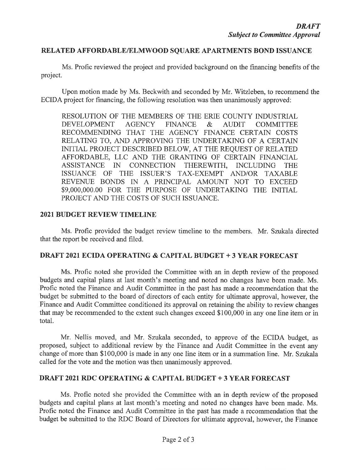### RELATED AFFORDABLE/ELMWOOD SQUARE APARTMENTS BOND ISSUANCE

Ms. Profic reviewed the project and provided background on the financing benefits of the project.

Upon motion made by Ms. Beckwith and seconded by Mr. Witzleben, to recommend the ECIDA project for financing, the following resolution was then unanimously approved:

RESOLUTION OF THE MEMBERS OF THE ERIE COUNTY INDUSTRIAL **DEVELOPMENT AGENCY FINANCE**  $\&$ **AUDIT COMMITTEE** RECOMMENDING THAT THE AGENCY FINANCE CERTAIN COSTS RELATING TO, AND APPROVING THE UNDERTAKING OF A CERTAIN INITIAL PROJECT DESCRIBED BELOW, AT THE REQUEST OF RELATED AFFORDABLE, LLC AND THE GRANTING OF CERTAIN FINANCIAL ASSISTANCE IN CONNECTION THEREWITH, INCLUDING THE ISSUANCE OF THE ISSUER'S TAX-EXEMPT AND/OR TAXABLE REVENUE BONDS IN A PRINCIPAL AMOUNT NOT TO EXCEED \$9,000,000.00 FOR THE PURPOSE OF UNDERTAKING THE INITIAL PROJECT AND THE COSTS OF SUCH ISSUANCE.

### **2021 BUDGET REVIEW TIMELINE**

Ms. Profic provided the budget review timeline to the members. Mr. Szukala directed that the report be received and filed.

### **DRAFT 2021 ECIDA OPERATING & CAPITAL BUDGET + 3 YEAR FORECAST**

Ms. Profic noted she provided the Committee with an in depth review of the proposed budgets and capital plans at last month's meeting and noted no changes have been made. Ms. Profic noted the Finance and Audit Committee in the past has made a recommendation that the budget be submitted to the board of directors of each entity for ultimate approval, however, the Finance and Audit Committee conditioned its approval on retaining the ability to review changes that may be recommended to the extent such changes exceed \$100,000 in any one line item or in total.

Mr. Nellis moved, and Mr. Szukala seconded, to approve of the ECIDA budget, as proposed, subject to additional review by the Finance and Audit Committee in the event any change of more than \$100,000 is made in any one line item or in a summation line. Mr. Szukala called for the vote and the motion was then unanimously approved.

### **DRAFT 2021 RDC OPERATING & CAPITAL BUDGET + 3 YEAR FORECAST**

Ms. Profic noted she provided the Committee with an in depth review of the proposed budgets and capital plans at last month's meeting and noted no changes have been made. Ms. Profic noted the Finance and Audit Committee in the past has made a recommendation that the budget be submitted to the RDC Board of Directors for ultimate approval, however, the Finance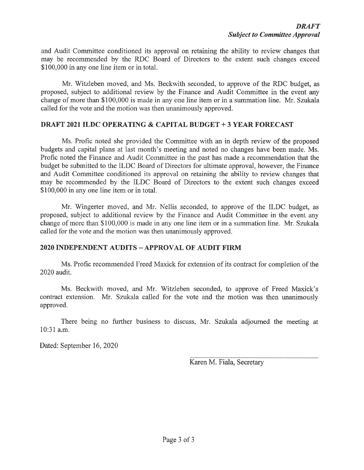and Audit Committee conditioned its approval on retaining the ability to review changes that may be recommended by the RDC Board of Directors to the extent such changes exceed \$100,000 in any one line item or in total.

Mr. Witzleben moved, and Ms. Beckwith seconded, to approve of the RDC budget, as proposed, subject to additional review by the Finance and Audit Committee in the event any change of more than \$100,000 is made in any one line item or in a summation line. Mr. Szukala called for the vote and the motion was then unanimously approved.

### DRAFT 2021 ILDC OPERATING & CAPITAL BUDGET + 3 YEAR FORECAST

Ms. Profic noted she provided the Committee with an in depth review of the proposed budgets and capital plans at last month's meeting and noted no changes have been made. Ms. Profic noted the Finance and Audit Committee in the past has made a recommendation that the budget be submitted to the ILDC Board of Directors for ultimate approval, however, the Finance and Audit Committee conditioned its approval on retaining the ability to review changes that may be recommended by the ILDC Board of Directors to the extent such changes exceed \$100,000 in any one line item or in total.

Mr. Wingerter moved, and Mr. Nellis seconded, to approve of the ILDC budget, as proposed, subject to additional review by the Finance and Audit Committee in the event any change of more than \$100,000 is made in any one line item or in a summation line. Mr. Szukala called for the vote and the motion was then unanimously approved.

### 2020 INDEPENDENT AUDITS – APPROVAL OF AUDIT FIRM

Ms. Profic recommended Freed Maxick for extension of its contract for completion of the 2020 audit.

Ms. Beckwith moved, and Mr. Witzleben seconded, to approve of Freed Maxick's contract extension. Mr. Szukala called for the vote and the motion was then unanimously approved.

There being no further business to discuss, Mr. Szukala adjourned the meeting at 10:31 a.m.

Dated: September 16, 2020

Karen M. Fiala, Secretary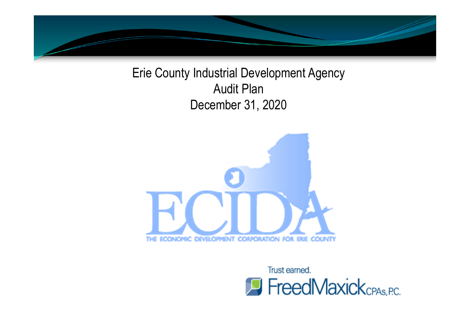

Erie County Industrial Development Agency Audit Plan December 31, 2020



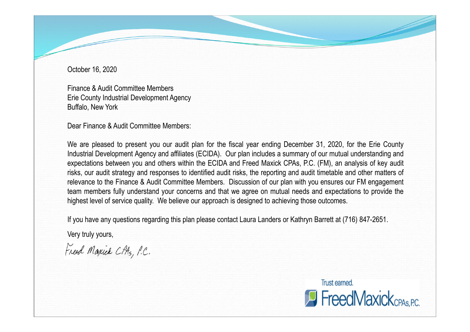October 16, 2020

Finance & Audit Committee Members Erie County Industrial Development Agency Buffalo, New York

Dear Finance & Audit Committee Members:

We are pleased to present you our audit plan for the fiscal year ending December 31, 2020, for the Erie County Industrial Development Agency and affiliates (ECIDA). Our plan includes a summary of our mutual understanding and expectations between you and others within the ECIDA and Freed Maxick CPAs, P.C. (FM), an analysis of key audit risks, our audit strategy and responses to identified audit risks, the reporting and audit timetable and other matters of relevance to the Finance & Audit Committee Members. Discussion of our plan with you ensures our FM engagement team members fully understand your concerns and that we agree on mutual needs and expectations to provide the highest level of service quality. We believe our approach is designed to achieving those outcomes.

If you have any questions regarding this plan please contact Laura Landers or Kathryn Barrett at (716) 847-2651.

Very truly yours,

Freed Maxick CPAS, P.C.

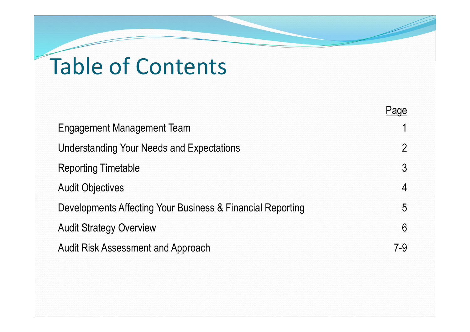# Table of Contents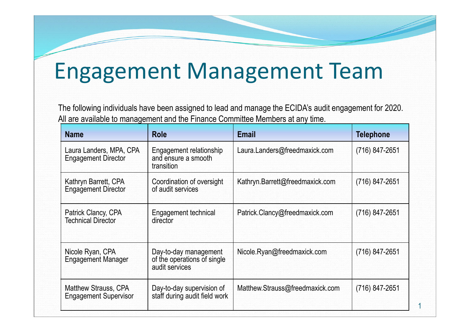# Engagement Management Team

The following individuals have been assigned to lead and manage the ECIDA's audit engagement for 2020. All are available to management and the Finance Committee Members at any time.

| <b>Name</b>                                                 | <b>Role</b>                                                            | <b>Email</b>                    | <b>Telephone</b> |
|-------------------------------------------------------------|------------------------------------------------------------------------|---------------------------------|------------------|
| Laura Landers, MPA, CPA<br><b>Engagement Director</b>       | Engagement relationship<br>and ensure a smooth<br>transition           | Laura.Landers@freedmaxick.com   | (716) 847-2651   |
| Kathryn Barrett, CPA<br><b>Engagement Director</b>          | Coordination of oversight<br>of audit services                         | Kathryn.Barrett@freedmaxick.com | (716) 847-2651   |
| Patrick Clancy, CPA<br><b>Technical Director</b>            | <b>Engagement technical</b><br>director                                | Patrick.Clancy@freedmaxick.com  | (716) 847-2651   |
| Nicole Ryan, CPA<br><b>Engagement Manager</b>               | Day-to-day management<br>of the operations of single<br>audit services | Nicole.Ryan@freedmaxick.com     | (716) 847-2651   |
| <b>Matthew Strauss, CPA</b><br><b>Engagement Supervisor</b> | Day-to-day supervision of<br>staff during audit field work             | Matthew.Strauss@freedmaxick.com | (716) 847-2651   |

1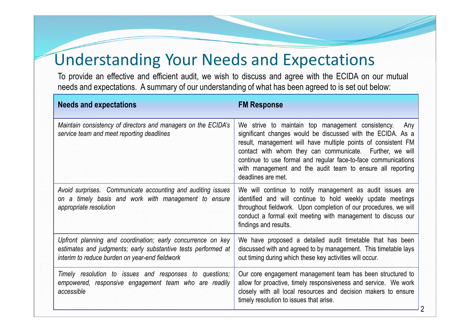## Understanding Your Needs and Expectations

To provide an effective and efficient audit, we wish to discuss and agree with the ECIDA on our mutual needs and expectations. A summary of our understanding of what has been agreed to is set out below:

| <b>Needs and expectations</b>                                                                                                                                                  | <b>FM Response</b>                                                                                                                                                                                                                                                                                                                                                                                         |
|--------------------------------------------------------------------------------------------------------------------------------------------------------------------------------|------------------------------------------------------------------------------------------------------------------------------------------------------------------------------------------------------------------------------------------------------------------------------------------------------------------------------------------------------------------------------------------------------------|
| Maintain consistency of directors and managers on the ECIDA's<br>service team and meet reporting deadlines                                                                     | We strive to maintain top management consistency.<br>Any<br>significant changes would be discussed with the ECIDA. As a<br>result, management will have multiple points of consistent FM<br>contact with whom they can communicate. Further, we will<br>continue to use formal and regular face-to-face communications<br>with management and the audit team to ensure all reporting<br>deadlines are met. |
| Avoid surprises. Communicate accounting and auditing issues<br>on a timely basis and work with management to ensure<br>appropriate resolution                                  | We will continue to notify management as audit issues are<br>identified and will continue to hold weekly update meetings<br>throughout fieldwork. Upon completion of our procedures, we will<br>conduct a formal exit meeting with management to discuss our<br>findings and results.                                                                                                                      |
| Upfront planning and coordination; early concurrence on key<br>estimates and judgments; early substantive tests performed at<br>interim to reduce burden on year-end fieldwork | We have proposed a detailed audit timetable that has been<br>discussed with and agreed to by management. This timetable lays<br>out timing during which these key activities will occur.                                                                                                                                                                                                                   |
| Timely resolution to issues and responses to questions;<br>empowered, responsive engagement team who are readily<br>accessible                                                 | Our core engagement management team has been structured to<br>allow for proactive, timely responsiveness and service. We work<br>closely with all local resources and decision makers to ensure<br>timely resolution to issues that arise.                                                                                                                                                                 |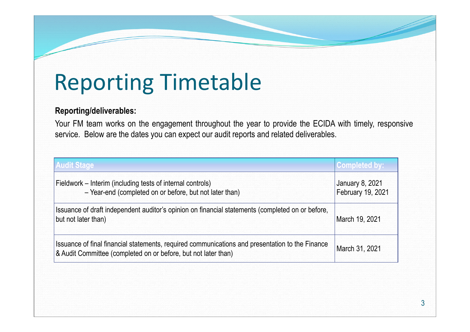## Reporting Timetable

### **Reporting/deliverables:**

Your FM team works on the engagement throughout the year to provide the ECIDA with timely, responsive service. Below are the dates you can expect our audit reports and related deliverables.

| <b>Audit Stage</b>                                                                                                                                                | <b>Completed by:</b>                        |
|-------------------------------------------------------------------------------------------------------------------------------------------------------------------|---------------------------------------------|
| Fieldwork – Interim (including tests of internal controls)<br>- Year-end (completed on or before, but not later than)                                             | <b>January 8, 2021</b><br>February 19, 2021 |
| Issuance of draft independent auditor's opinion on financial statements (completed on or before,<br>but not later than)                                           | March 19, 2021                              |
| Issuance of final financial statements, required communications and presentation to the Finance<br>& Audit Committee (completed on or before, but not later than) | March 31, 2021                              |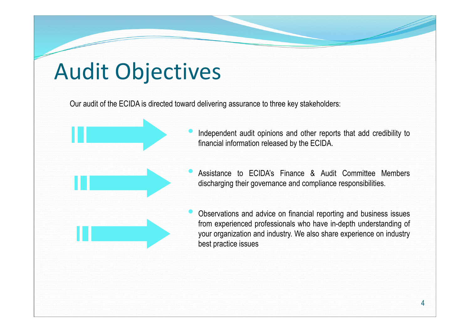## Audit Objectives

Our audit of the ECIDA is directed toward delivering assurance to three key stakeholders:



- Independent audit opinions and other reports that add credibility to financial information released by the ECIDA.
- Assistance to ECIDA's Finance & Audit Committee Members discharging their governance and compliance responsibilities.
- Observations and advice on financial reporting and business issues from experienced professionals who have in-depth understanding of your organization and industry. We also share experience on industry best practice issues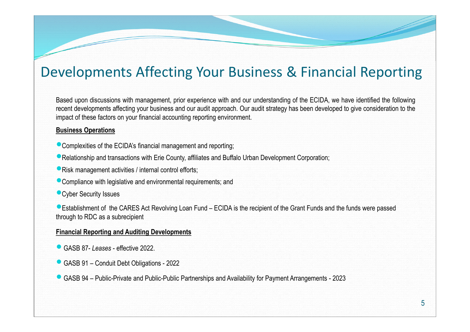### Developments Affecting Your Business & Financial Reporting

Based upon discussions with management, prior experience with and our understanding of the ECIDA, we have identified the following recent developments affecting your business and our audit approach. Our audit strategy has been developed to give consideration to the impact of these factors on your financial accounting reporting environment.

### **Business Operations**

- Complexities of the ECIDA's financial management and reporting;
- Relationship and transactions with Erie County, affiliates and Buffalo Urban Development Corporation;
- Risk management activities / internal control efforts;
- Compliance with legislative and environmental requirements; and
- **Cyber Security Issues**

Establishment of the CARES Act Revolving Loan Fund – ECIDA is the recipient of the Grant Funds and the funds were passed through to RDC as a subrecipient

### **Financial Reporting and Auditing Developments**

- GASB 87- *Leases* effective 2022.
- GASB 91 Conduit Debt Obligations 2022
- GASB 94 Public-Private and Public-Public Partnerships and Availability for Payment Arrangements 2023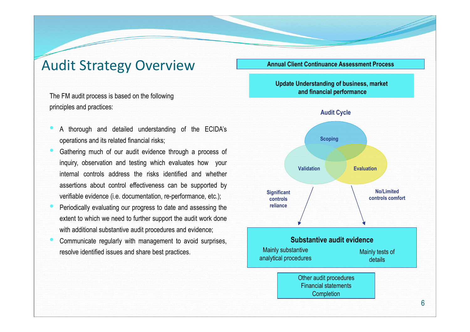### Audit Strategy Overview

The FM audit process is based on the following principles and practices:

- A thorough and detailed understanding of the ECIDA's operations and its related financial risks;
- Gathering much of our audit evidence through a process of inquiry, observation and testing which evaluates how your internal controls address the risks identified and whether assertions about control effectiveness can be supported by verifiable evidence (i.e. documentation, re-performance, etc.);
- Periodically evaluating our progress to date and assessing the extent to which we need to further support the audit work done with additional substantive audit procedures and evidence;
- Communicate regularly with management to avoid surprises, resolve identified issues and share best practices.

**Annual Client Continuance Assessment Process**

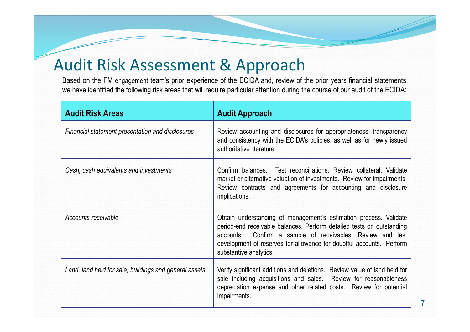### Audit Risk Assessment & Approach

Based on the FM engagement team's prior experience of the ECIDA and, review of the prior years financial statements, we have identified the following risk areas that will require particular attention during the course of our audit of the ECIDA:

| <b>Audit Risk Areas</b>                                 | <b>Audit Approach</b>                                                                                                                                                                                                                                                                                      |
|---------------------------------------------------------|------------------------------------------------------------------------------------------------------------------------------------------------------------------------------------------------------------------------------------------------------------------------------------------------------------|
| Financial statement presentation and disclosures        | Review accounting and disclosures for appropriateness, transparency<br>and consistency with the ECIDA's policies, as well as for newly issued<br>authoritative literature.                                                                                                                                 |
| Cash, cash equivalents and investments                  | Confirm balances. Test reconciliations. Review collateral. Validate<br>market or alternative valuation of investments. Review for impairments.<br>Review contracts and agreements for accounting and disclosure<br>implications.                                                                           |
| Accounts receivable                                     | Obtain understanding of management's estimation process. Validate<br>period-end receivable balances. Perform detailed tests on outstanding<br>accounts. Confirm a sample of receivables. Review and test<br>development of reserves for allowance for doubtful accounts. Perform<br>substantive analytics. |
| Land, land held for sale, buildings and general assets. | Verify significant additions and deletions. Review value of land held for<br>sale including acquisitions and sales. Review for reasonableness<br>depreciation expense and other related costs. Review for potential<br>impairments.                                                                        |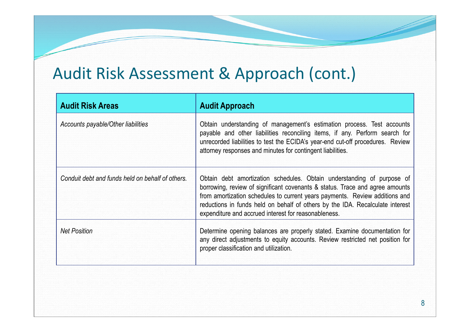## Audit Risk Assessment & Approach (cont.)

| <b>Audit Risk Areas</b>                          | <b>Audit Approach</b>                                                                                                                                                                                                                                                                                                                                                          |
|--------------------------------------------------|--------------------------------------------------------------------------------------------------------------------------------------------------------------------------------------------------------------------------------------------------------------------------------------------------------------------------------------------------------------------------------|
| Accounts payable/Other liabilities               | Obtain understanding of management's estimation process. Test accounts<br>payable and other liabilities reconciling items, if any. Perform search for<br>unrecorded liabilities to test the ECIDA's year-end cut-off procedures. Review<br>attorney responses and minutes for contingent liabilities.                                                                          |
| Conduit debt and funds held on behalf of others. | Obtain debt amortization schedules. Obtain understanding of purpose of<br>borrowing, review of significant covenants & status. Trace and agree amounts<br>from amortization schedules to current years payments. Review additions and<br>reductions in funds held on behalf of others by the IDA. Recalculate interest<br>expenditure and accrued interest for reasonableness. |
| <b>Net Position</b>                              | Determine opening balances are properly stated. Examine documentation for<br>any direct adjustments to equity accounts. Review restricted net position for<br>proper classification and utilization.                                                                                                                                                                           |